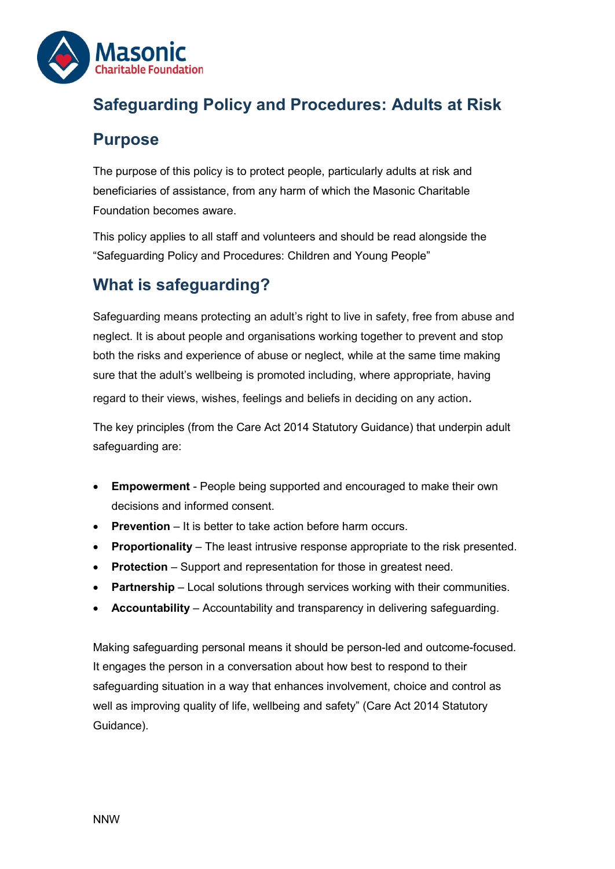

## **Safeguarding Policy and Procedures: Adults at Risk**

#### **Purpose**

The purpose of this policy is to protect people, particularly adults at risk and beneficiaries of assistance, from any harm of which the Masonic Charitable Foundation becomes aware.

This policy applies to all staff and volunteers and should be read alongside the "Safeguarding Policy and Procedures: Children and Young People"

# **What is safeguarding?**

Safeguarding means protecting an adult's right to live in safety, free from abuse and neglect. It is about people and organisations working together to prevent and stop both the risks and experience of abuse or neglect, while at the same time making sure that the adult's wellbeing is promoted including, where appropriate, having regard to their views, wishes, feelings and beliefs in deciding on any action.

The key principles (from the Care Act 2014 Statutory Guidance) that underpin adult safeguarding are:

- **Empowerment** People being supported and encouraged to make their own decisions and informed consent.
- **Prevention** It is better to take action before harm occurs.
- **Proportionality** The least intrusive response appropriate to the risk presented.
- **Protection** Support and representation for those in greatest need.
- **Partnership** Local solutions through services working with their communities.
- **Accountability** Accountability and transparency in delivering safeguarding.

Making safeguarding personal means it should be person-led and outcome-focused. It engages the person in a conversation about how best to respond to their safeguarding situation in a way that enhances involvement, choice and control as well as improving quality of life, wellbeing and safety" (Care Act 2014 Statutory Guidance).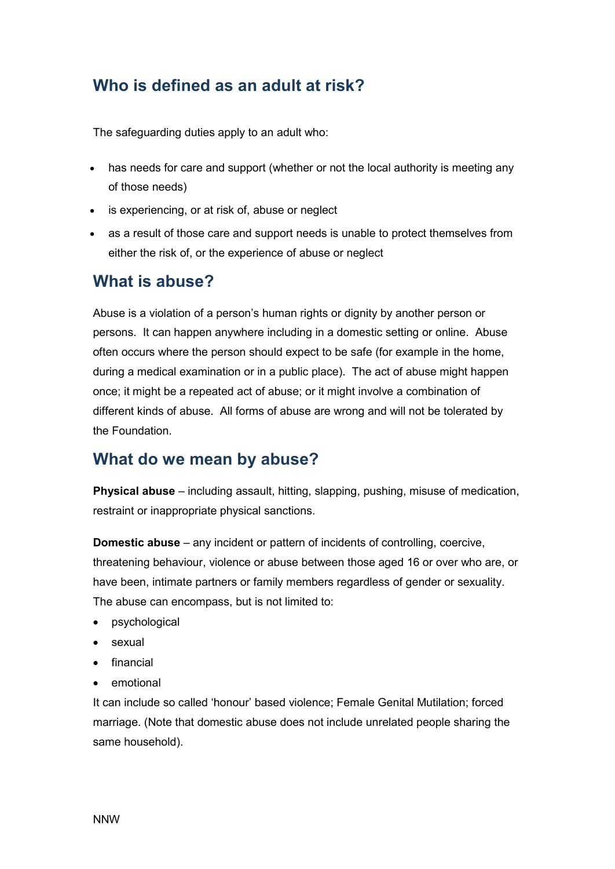### **Who is defined as an adult at risk?**

The safeguarding duties apply to an adult who:

- has needs for care and support (whether or not the local authority is meeting any of those needs)
- is experiencing, or at risk of, abuse or neglect
- as a result of those care and support needs is unable to protect themselves from either the risk of, or the experience of abuse or neglect

#### **What is abuse?**

Abuse is a violation of a person's human rights or dignity by another person or persons. It can happen anywhere including in a domestic setting or online. Abuse often occurs where the person should expect to be safe (for example in the home, during a medical examination or in a public place). The act of abuse might happen once; it might be a repeated act of abuse; or it might involve a combination of different kinds of abuse. All forms of abuse are wrong and will not be tolerated by the Foundation.

#### **What do we mean by abuse?**

**Physical abuse** – including assault, hitting, slapping, pushing, misuse of medication, restraint or inappropriate physical sanctions.

**Domestic abuse** – any incident or pattern of incidents of controlling, coercive, threatening behaviour, violence or abuse between those aged 16 or over who are, or have been, intimate partners or family members regardless of gender or sexuality. The abuse can encompass, but is not limited to:

- psychological
- sexual
- financial
- emotional

It can include so called 'honour' based violence; Female Genital Mutilation; forced marriage. (Note that domestic abuse does not include unrelated people sharing the same household).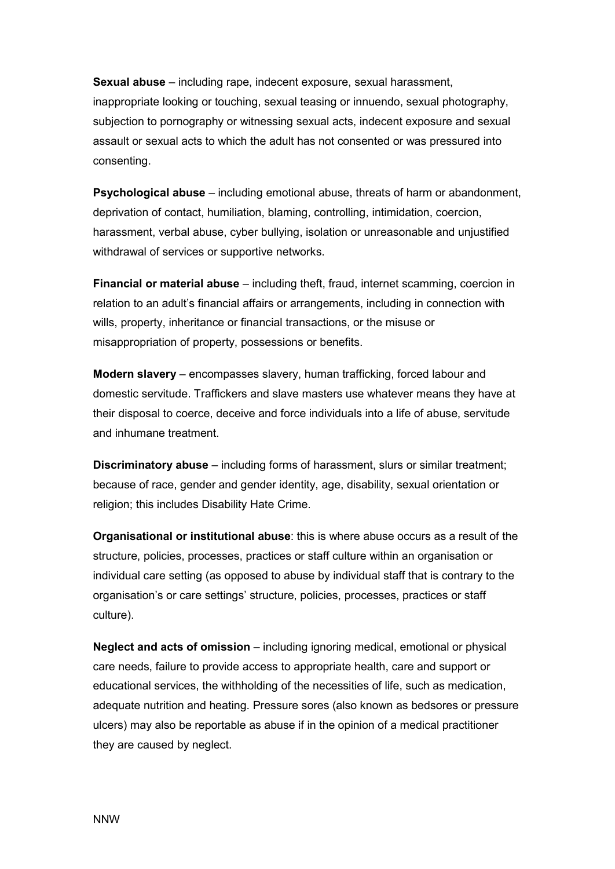**Sexual abuse** – including rape, indecent exposure, sexual harassment, inappropriate looking or touching, sexual teasing or innuendo, sexual photography, subjection to pornography or witnessing sexual acts, indecent exposure and sexual assault or sexual acts to which the adult has not consented or was pressured into consenting.

**Psychological abuse** – including emotional abuse, threats of harm or abandonment, deprivation of contact, humiliation, blaming, controlling, intimidation, coercion, harassment, verbal abuse, cyber bullying, isolation or unreasonable and unjustified withdrawal of services or supportive networks.

**Financial or material abuse** – including theft, fraud, internet scamming, coercion in relation to an adult's financial affairs or arrangements, including in connection with wills, property, inheritance or financial transactions, or the misuse or misappropriation of property, possessions or benefits.

**Modern slavery** – encompasses slavery, human trafficking, forced labour and domestic servitude. Traffickers and slave masters use whatever means they have at their disposal to coerce, deceive and force individuals into a life of abuse, servitude and inhumane treatment.

**Discriminatory abuse** – including forms of harassment, slurs or similar treatment; because of race, gender and gender identity, age, disability, sexual orientation or religion; this includes Disability Hate Crime.

**Organisational or institutional abuse**: this is where abuse occurs as a result of the structure, policies, processes, practices or staff culture within an organisation or individual care setting (as opposed to abuse by individual staff that is contrary to the organisation's or care settings' structure, policies, processes, practices or staff culture).

**Neglect and acts of omission** – including ignoring medical, emotional or physical care needs, failure to provide access to appropriate health, care and support or educational services, the withholding of the necessities of life, such as medication, adequate nutrition and heating. Pressure sores (also known as bedsores or pressure ulcers) may also be reportable as abuse if in the opinion of a medical practitioner they are caused by neglect.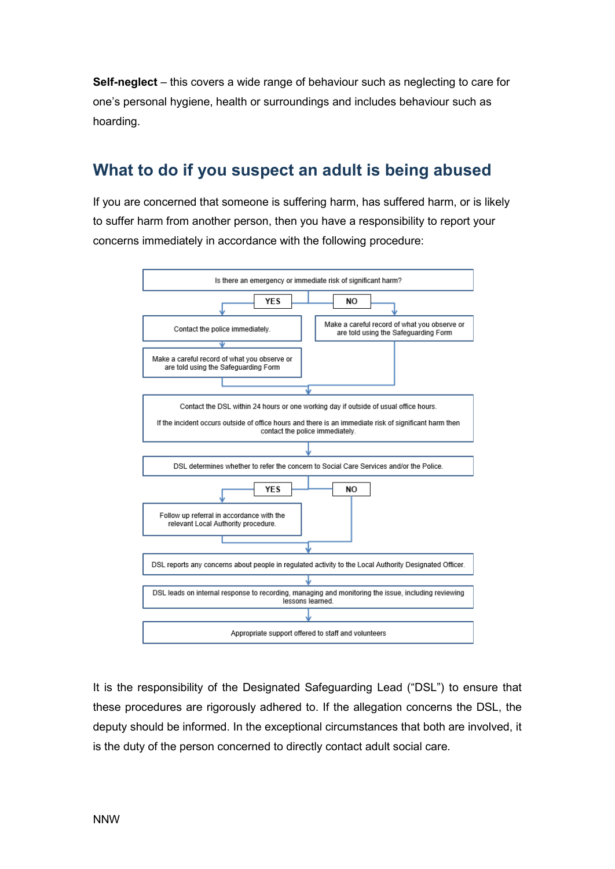**Self-neglect** – this covers a wide range of behaviour such as neglecting to care for one's personal hygiene, health or surroundings and includes behaviour such as hoarding.

#### **What to do if you suspect an adult is being abused**

If you are concerned that someone is suffering harm, has suffered harm, or is likely to suffer harm from another person, then you have a responsibility to report your concerns immediately in accordance with the following procedure:



It is the responsibility of the Designated Safeguarding Lead ("DSL") to ensure that these procedures are rigorously adhered to. If the allegation concerns the DSL, the deputy should be informed. In the exceptional circumstances that both are involved, it is the duty of the person concerned to directly contact adult social care.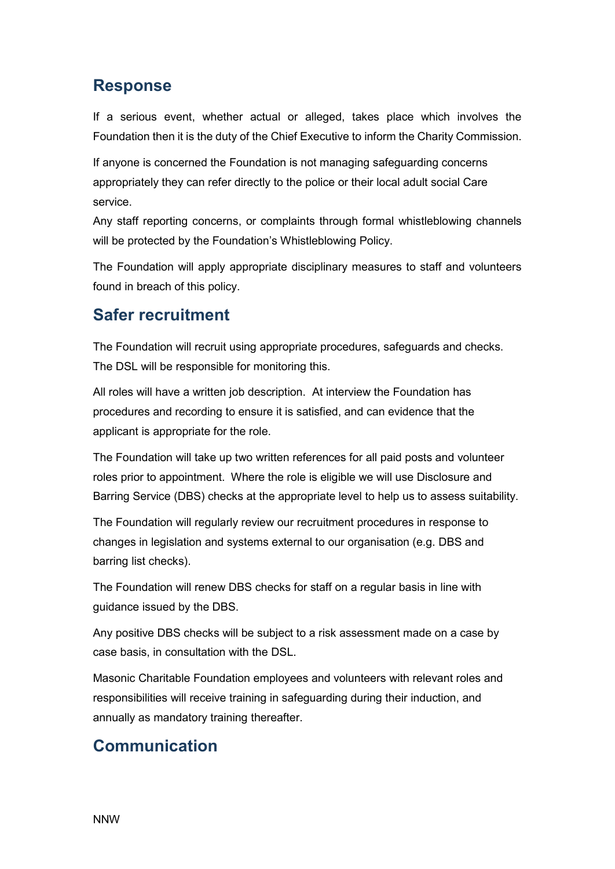### **Response**

If a serious event, whether actual or alleged, takes place which involves the Foundation then it is the duty of the Chief Executive to inform the Charity Commission.

If anyone is concerned the Foundation is not managing safeguarding concerns appropriately they can refer directly to the police or their local adult social Care service.

Any staff reporting concerns, or complaints through formal whistleblowing channels will be protected by the Foundation's Whistleblowing Policy.

The Foundation will apply appropriate disciplinary measures to staff and volunteers found in breach of this policy.

### **Safer recruitment**

The Foundation will recruit using appropriate procedures, safeguards and checks. The DSL will be responsible for monitoring this.

All roles will have a written job description. At interview the Foundation has procedures and recording to ensure it is satisfied, and can evidence that the applicant is appropriate for the role.

The Foundation will take up two written references for all paid posts and volunteer roles prior to appointment. Where the role is eligible we will use Disclosure and Barring Service (DBS) checks at the appropriate level to help us to assess suitability.

The Foundation will regularly review our recruitment procedures in response to changes in legislation and systems external to our organisation (e.g. DBS and barring list checks).

The Foundation will renew DBS checks for staff on a regular basis in line with guidance issued by the DBS.

Any positive DBS checks will be subject to a risk assessment made on a case by case basis, in consultation with the DSL.

Masonic Charitable Foundation employees and volunteers with relevant roles and responsibilities will receive training in safeguarding during their induction, and annually as mandatory training thereafter.

### **Communication**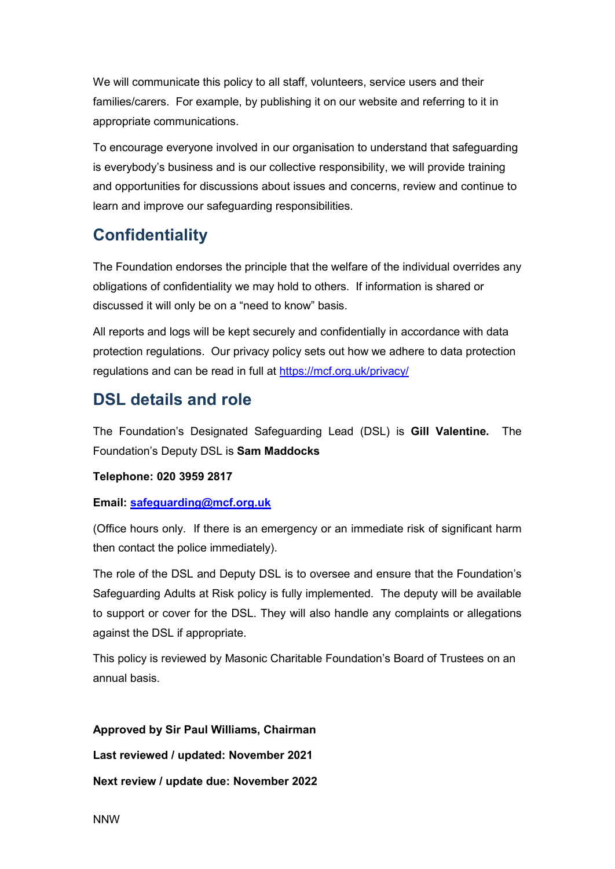We will communicate this policy to all staff, volunteers, service users and their families/carers. For example, by publishing it on our website and referring to it in appropriate communications.

To encourage everyone involved in our organisation to understand that safeguarding is everybody's business and is our collective responsibility, we will provide training and opportunities for discussions about issues and concerns, review and continue to learn and improve our safeguarding responsibilities.

#### **Confidentiality**

The Foundation endorses the principle that the welfare of the individual overrides any obligations of confidentiality we may hold to others. If information is shared or discussed it will only be on a "need to know" basis.

All reports and logs will be kept securely and confidentially in accordance with data protection regulations. Our privacy policy sets out how we adhere to data protection regulations and can be read in full at<https://mcf.org.uk/privacy/>

#### **DSL details and role**

The Foundation's Designated Safeguarding Lead (DSL) is **Gill Valentine.** The Foundation's Deputy DSL is **Sam Maddocks**

#### **Telephone: 020 3959 2817**

#### **Email: [safeguarding@mcf.org.uk](mailto:safeguarding@mcf.org.uk)**

(Office hours only. If there is an emergency or an immediate risk of significant harm then contact the police immediately).

The role of the DSL and Deputy DSL is to oversee and ensure that the Foundation's Safeguarding Adults at Risk policy is fully implemented. The deputy will be available to support or cover for the DSL. They will also handle any complaints or allegations against the DSL if appropriate.

This policy is reviewed by Masonic Charitable Foundation's Board of Trustees on an annual basis.

#### **Approved by Sir Paul Williams, Chairman**

**Last reviewed / updated: November 2021**

**Next review / update due: November 2022**

NNW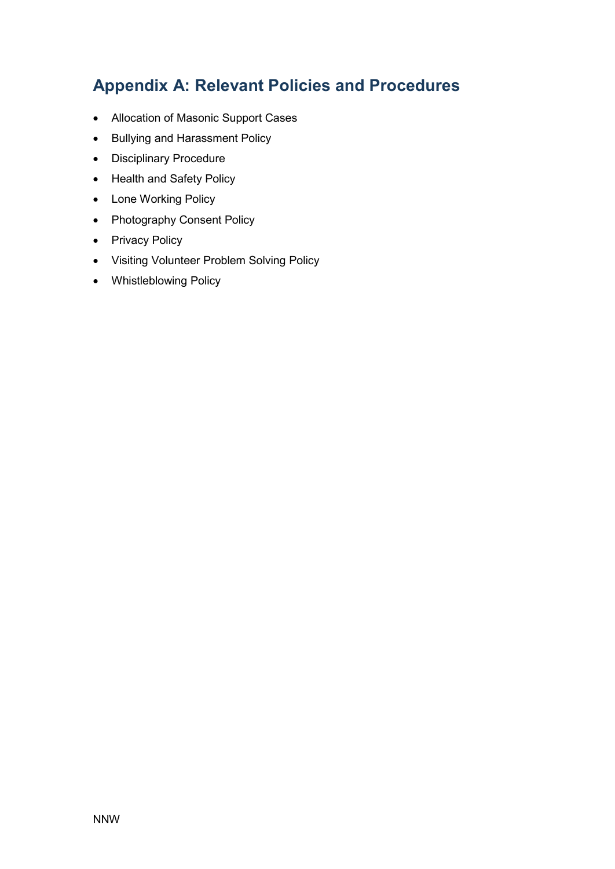### **Appendix A: Relevant Policies and Procedures**

- Allocation of Masonic Support Cases
- Bullying and Harassment Policy
- Disciplinary Procedure
- Health and Safety Policy
- Lone Working Policy
- Photography Consent Policy
- Privacy Policy
- Visiting Volunteer Problem Solving Policy
- Whistleblowing Policy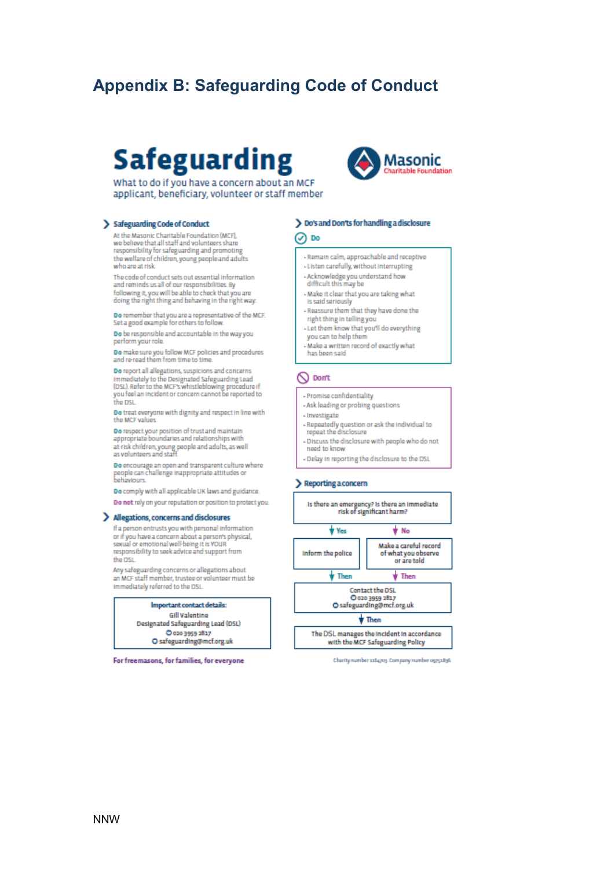### **Appendix B: Safeguarding Code of Conduct**

# Safeguarding



What to do if you have a concern about an MCF applicant, beneficiary, volunteer or staff member

#### > Safeguarding Code of Conduct

At the Masonic Charitable Foundation (MCF). we believe that all staff and volunteers share responsibility for safeguarding and promoting the welfare of children, young people and adults who are at risk.

The code of conduct sets out essential information and reminds us all of our responsibilities. By following it, you will be able to check that you are<br>doing the right thing and behaving in the right way.

Do remember that you are a representative of the MCF.<br>Set a good example for others to follow.

Do be responsible and accountable in the way you perform your role.

Do make sure you follow MCF policies and procedures and re-read them from time to time.

Do report all allegations, suspicions and concerns Immediately to the Designated Safeguarding Lead<br>(DSL). Refer to the MCF's whistleblowing procedure if<br>you feel an incident or concern cannot be reported to the DSL

Do treat everyone with dignity and respect in line with the MCF values

Do respect your position of trust and maintain<br>appropriate boundaries and relationships with at-risk children, young people and adults, as well<br>as volunteers and staff.

Do encourage an open and transparent culture where<br>people can challenge inappropriate attitudes or behaviours

Do comply with all applicable UK laws and guidance.

Do not rely on your reputation or position to protect you.

#### > Allegations, concerns and disclosures

If a person entrusts you with personal information or if you have a concern about a person's physical, sexual or emotional well-being it is YOUR<br>responsibility to seek advice and support from the DSL

Any safeguarding concerns or allegations about an MCF staff member, trustee or volunteer must be immediately referred to the DSL

Important contact details:

**Gill Valentine** Designated Safeguarding Lead (DSL) C 020 3959 2817 O safeguarding@mcf.org.uk

For freemasons, for families, for everyone

#### > Do's and Don'ts for handling a disclosure

⊘ ¤∘

- Remain calm, approachable and receptive
- Listen carefully, without interrupting
- Acknowledge you understand how<br>difficult this may be
- Make it clear that you are taking what is said seriously
- Reassure them that they have done the right thing in telling you
- Let them know that you'll do everything you can to help then
- Make a written record of exactly what
- has been said

#### O Don't

- Promise confidentiality
- Ask leading or probing questions
- Investigate
- Repeatedly question or ask the individual to<br>repeat the disclosure
- Discuss the disclosure with people who do not
- need to know - Delay in reporting the disclosure to the DSL
- 

#### > Reporting a concern



Charity number saliatos. Company number ogysalisti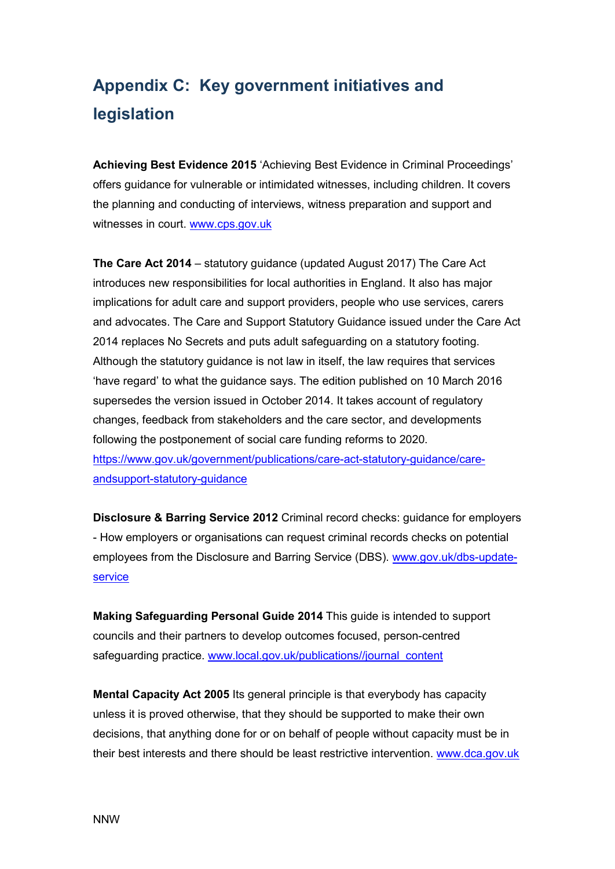# **Appendix C: Key government initiatives and legislation**

**Achieving Best Evidence 2015** 'Achieving Best Evidence in Criminal Proceedings' offers guidance for vulnerable or intimidated witnesses, including children. It covers the planning and conducting of interviews, witness preparation and support and witnesses in court. [www.cps.gov.uk](http://www.cps.gov.uk/) 

**The Care Act 2014** – statutory guidance (updated August 2017) The Care Act introduces new responsibilities for local authorities in England. It also has major implications for adult care and support providers, people who use services, carers and advocates. The Care and Support Statutory Guidance issued under the Care Act 2014 replaces No Secrets and puts adult safeguarding on a statutory footing. Although the statutory guidance is not law in itself, the law requires that services 'have regard' to what the guidance says. The edition published on 10 March 2016 supersedes the version issued in October 2014. It takes account of regulatory changes, feedback from stakeholders and the care sector, and developments following the postponement of social care funding reforms to 2020. [https://www.gov.uk/government/publications/care-act-statutory-guidance/care](https://www.gov.uk/government/publications/care-act-statutory-guidance/care-andsupport-statutory-guidance)[andsupport-statutory-guidance](https://www.gov.uk/government/publications/care-act-statutory-guidance/care-andsupport-statutory-guidance)

**Disclosure & Barring Service 2012** Criminal record checks: guidance for employers - How employers or organisations can request criminal records checks on potential employees from the Disclosure and Barring Service (DBS). [www.gov.uk/dbs-update](http://www.gov.uk/dbs-update-service)[service](http://www.gov.uk/dbs-update-service) 

**Making Safeguarding Personal Guide 2014** This guide is intended to support councils and their partners to develop outcomes focused, person-centred safeguarding practice. www.local.gov.uk/publications//journal\_content

**Mental Capacity Act 2005** Its general principle is that everybody has capacity unless it is proved otherwise, that they should be supported to make their own decisions, that anything done for or on behalf of people without capacity must be in their best interests and there should be least restrictive intervention. [www.dca.gov.uk](http://www.dca.gov.uk/)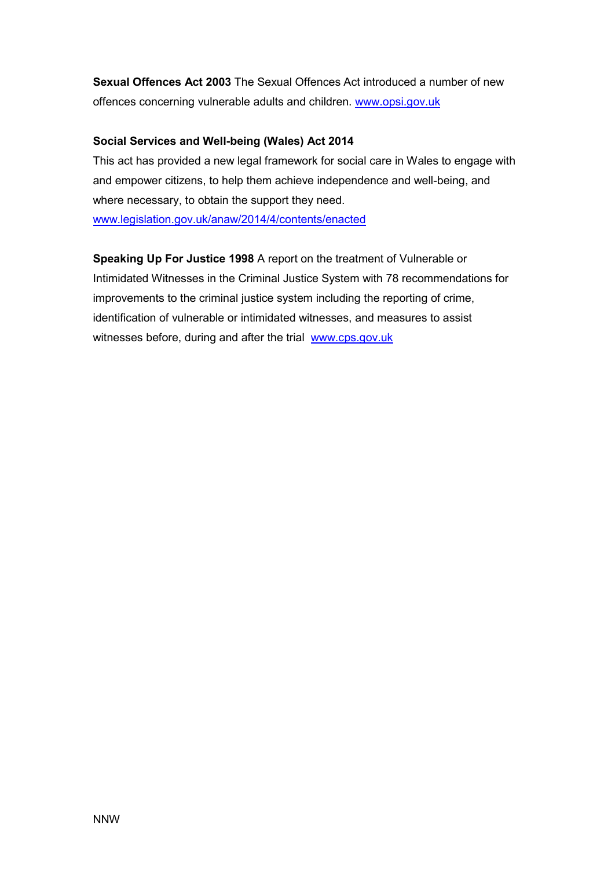**Sexual Offences Act 2003** The Sexual Offences Act introduced a number of new offences concerning vulnerable adults and children. www.opsi.gov.uk

#### **Social Services and Well-being (Wales) Act 2014**

This act has provided a new legal framework for social care in Wales to engage with and empower citizens, to help them achieve independence and well-being, and where necessary, to obtain the support they need. [www.legislation.gov.uk/anaw/2014/4/contents/enacted](http://www.legislation.gov.uk/anaw/2014/4/contents/enacted)

**Speaking Up For Justice 1998** A report on the treatment of Vulnerable or Intimidated Witnesses in the Criminal Justice System with 78 recommendations for improvements to the criminal justice system including the reporting of crime, identification of vulnerable or intimidated witnesses, and measures to assist witnesses before, during and after the trial www.cps.gov.uk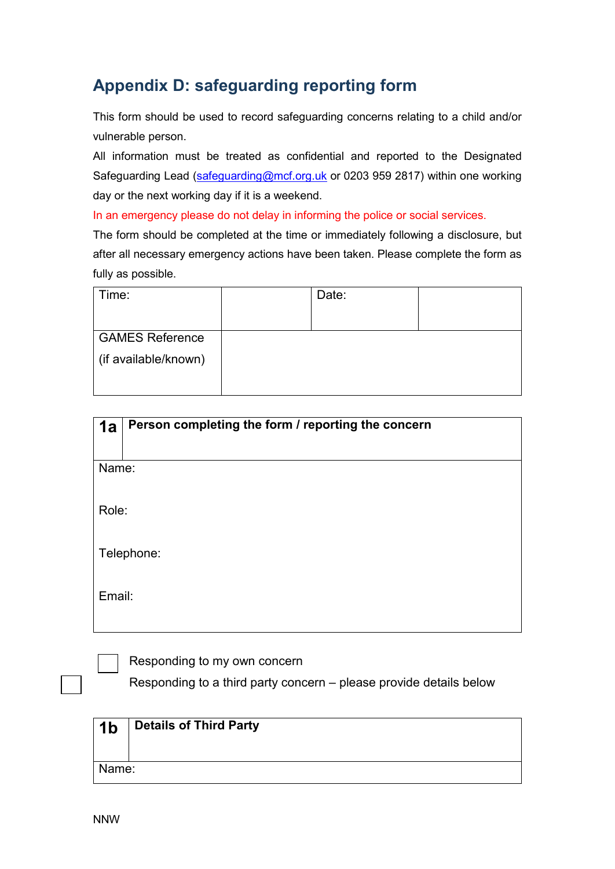### **Appendix D: safeguarding reporting form**

This form should be used to record safeguarding concerns relating to a child and/or vulnerable person.

All information must be treated as confidential and reported to the Designated Safeguarding Lead [\(safeguarding@mcf.org.uk](mailto:safeguarding@mcf.org.uk) or 0203 959 2817) within one working day or the next working day if it is a weekend.

In an emergency please do not delay in informing the police or social services.

The form should be completed at the time or immediately following a disclosure, but after all necessary emergency actions have been taken. Please complete the form as fully as possible.

| Time:                  | Date: |  |
|------------------------|-------|--|
|                        |       |  |
| <b>GAMES Reference</b> |       |  |
| (if available/known)   |       |  |
|                        |       |  |
|                        |       |  |

| 1a     | Person completing the form / reporting the concern |
|--------|----------------------------------------------------|
| Name:  |                                                    |
| Role:  |                                                    |
|        | Telephone:                                         |
| Email: |                                                    |

Responding to my own concern

Responding to a third party concern – please provide details below

| 1 <sub>b</sub> | Details of Third Party |
|----------------|------------------------|
| Name:          |                        |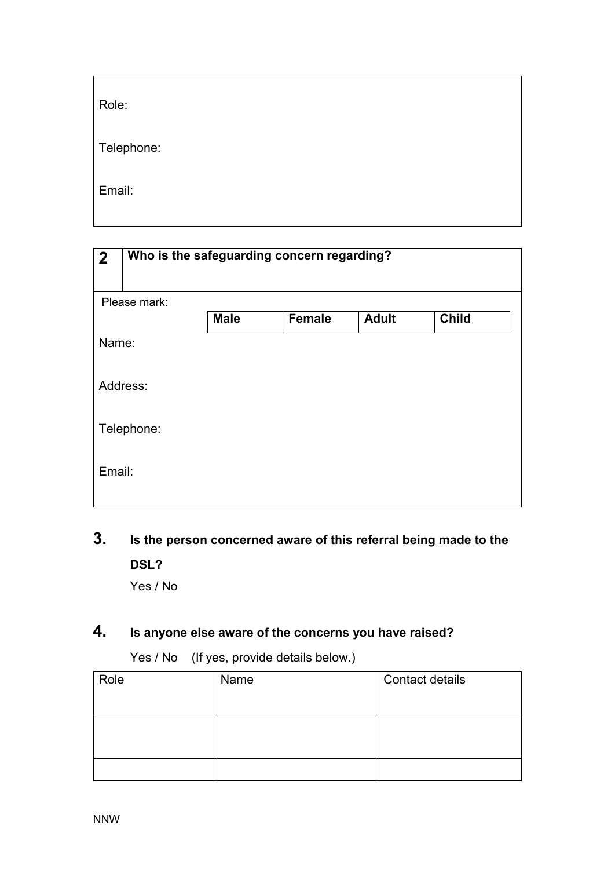| Role:      |  |  |  |
|------------|--|--|--|
| Telephone: |  |  |  |
| Email:     |  |  |  |

| $\boldsymbol{2}$ |              | Who is the safeguarding concern regarding? |               |              |              |
|------------------|--------------|--------------------------------------------|---------------|--------------|--------------|
|                  | Please mark: |                                            |               |              |              |
|                  |              | <b>Male</b>                                | <b>Female</b> | <b>Adult</b> | <b>Child</b> |
| Name:            |              |                                            |               |              |              |
|                  | Address:     |                                            |               |              |              |
|                  | Telephone:   |                                            |               |              |              |
| Email:           |              |                                            |               |              |              |

#### **3. Is the person concerned aware of this referral being made to the**

**DSL?**  Yes / No

### **4. Is anyone else aware of the concerns you have raised?**

Yes / No (If yes, provide details below.)

| Role | Name | <b>Contact details</b> |
|------|------|------------------------|
|      |      |                        |
|      |      |                        |
|      |      |                        |
|      |      |                        |
|      |      |                        |
|      |      |                        |
|      |      |                        |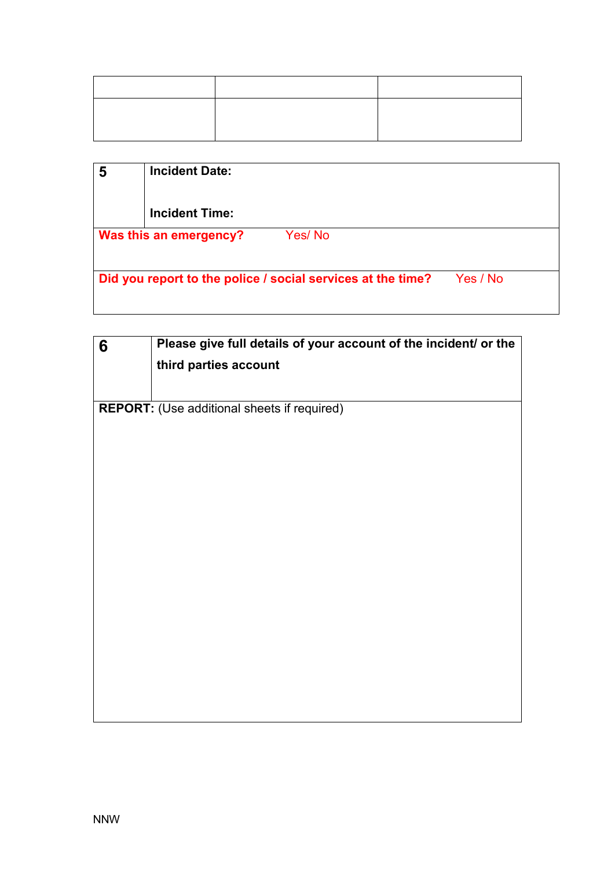| 5 | <b>Incident Date:</b>                                       |          |
|---|-------------------------------------------------------------|----------|
|   | <b>Incident Time:</b>                                       |          |
|   | Yes/No<br>Was this an emergency?                            |          |
|   |                                                             |          |
|   | Did you report to the police / social services at the time? | Yes / No |
|   |                                                             |          |

| 6 | Please give full details of your account of the incident/ or the |
|---|------------------------------------------------------------------|
|   | third parties account                                            |
|   |                                                                  |
|   | <b>REPORT:</b> (Use additional sheets if required)               |
|   |                                                                  |
|   |                                                                  |
|   |                                                                  |
|   |                                                                  |
|   |                                                                  |
|   |                                                                  |
|   |                                                                  |
|   |                                                                  |
|   |                                                                  |
|   |                                                                  |
|   |                                                                  |
|   |                                                                  |
|   |                                                                  |
|   |                                                                  |
|   |                                                                  |

I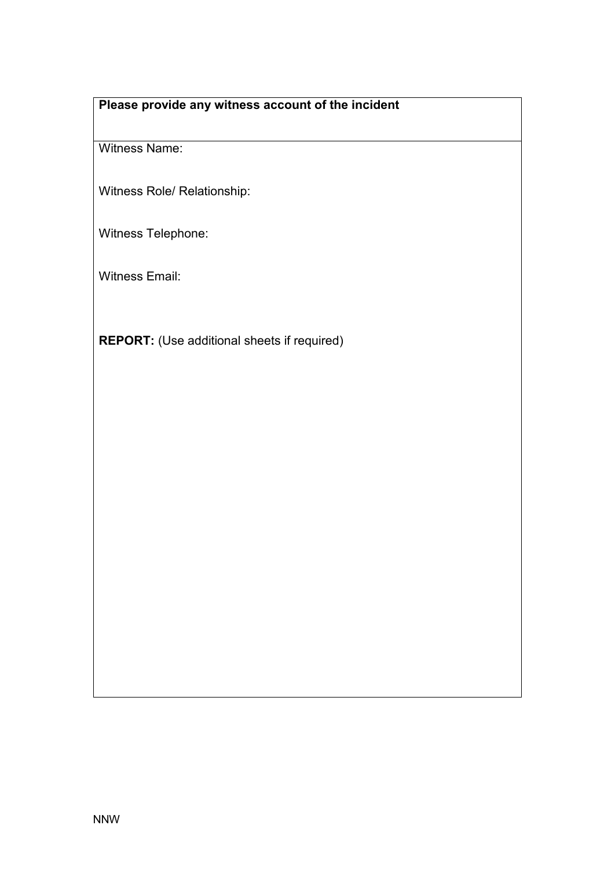#### **Please provide any witness account of the incident**

Witness Name:

Witness Role/ Relationship:

Witness Telephone:

Witness Email:

**REPORT:** (Use additional sheets if required)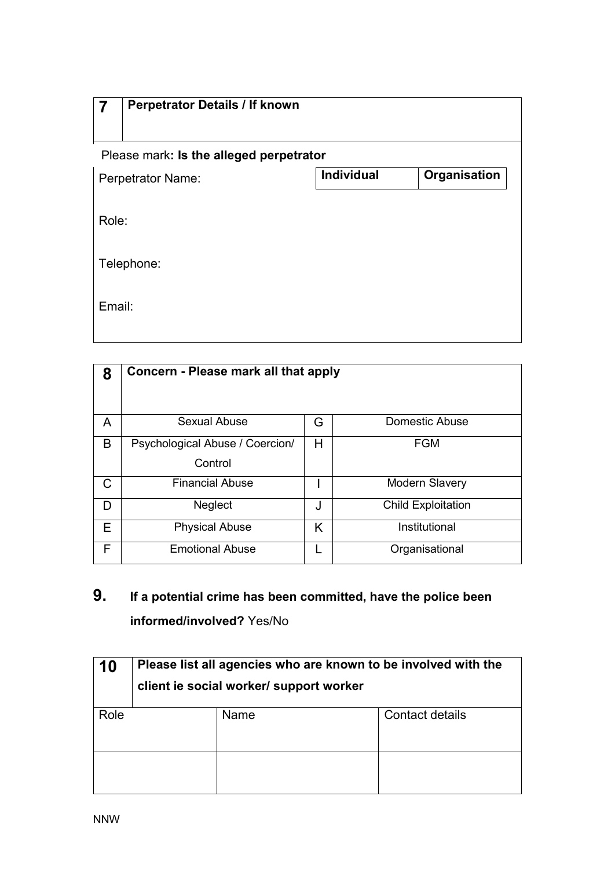|        | <b>Perpetrator Details / If known</b>   |                   |              |  |
|--------|-----------------------------------------|-------------------|--------------|--|
|        | Please mark: Is the alleged perpetrator |                   |              |  |
|        | <b>Perpetrator Name:</b>                | <b>Individual</b> | Organisation |  |
|        | Role:                                   |                   |              |  |
|        | Telephone:                              |                   |              |  |
| Email: |                                         |                   |              |  |

| 8 | Concern - Please mark all that apply       |   |                           |
|---|--------------------------------------------|---|---------------------------|
| A | Sexual Abuse                               | G | Domestic Abuse            |
| B | Psychological Abuse / Coercion/<br>Control | Н | <b>FGM</b>                |
| C | <b>Financial Abuse</b>                     |   | <b>Modern Slavery</b>     |
| D | <b>Neglect</b>                             | J | <b>Child Exploitation</b> |
| Е | <b>Physical Abuse</b>                      | K | Institutional             |
| F | <b>Emotional Abuse</b>                     |   | Organisational            |

**9. If a potential crime has been committed, have the police been informed/involved?** Yes/No

| 10   | Please list all agencies who are known to be involved with the<br>client ie social worker/ support worker |      |                 |
|------|-----------------------------------------------------------------------------------------------------------|------|-----------------|
| Role |                                                                                                           | Name | Contact details |
|      |                                                                                                           |      |                 |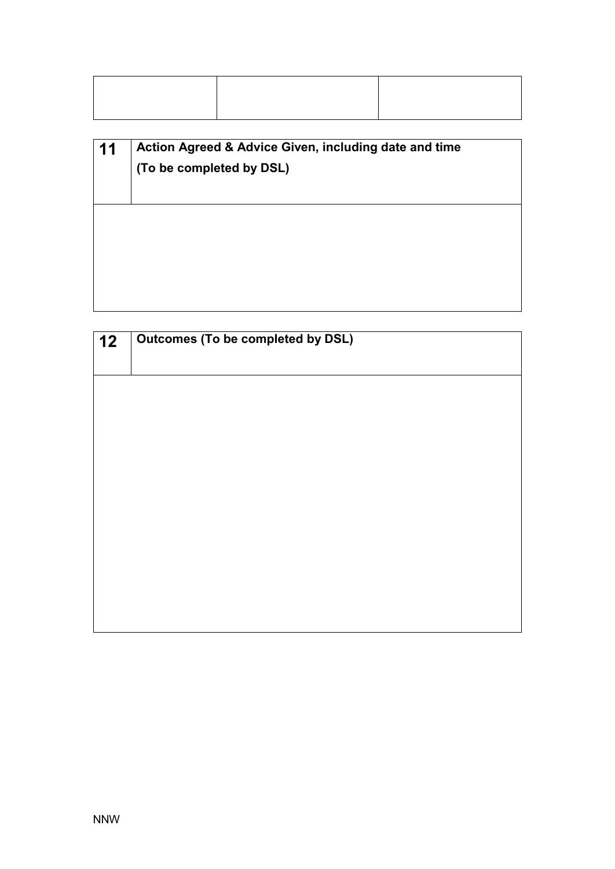| 11 | Action Agreed & Advice Given, including date and time<br>(To be completed by DSL) |
|----|-----------------------------------------------------------------------------------|
|    |                                                                                   |
|    |                                                                                   |

| $\vert$ 12 | <b>Outcomes (To be completed by DSL)</b> |
|------------|------------------------------------------|
|            |                                          |
|            |                                          |
|            |                                          |
|            |                                          |
|            |                                          |
|            |                                          |
|            |                                          |